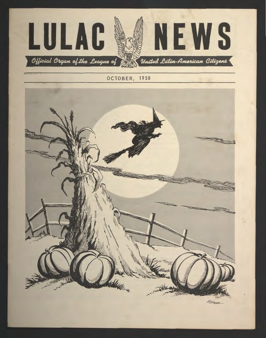

# OCTOBER, 1958



P.GNAVARRO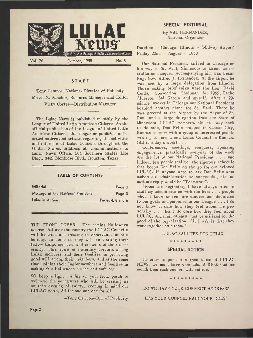

# **ST AF F**

Tony Campos, National Director of Publicity Moses M. Sanchez, Business Manager and Editor Vicky Cortez-Distribution Manager

The Lulac News is published monthly by the League of United Latin American Citizens. As the official publication of the League of United Latin .American Citizens, this magazine publishes authorized notices and articles regarding the activities and interests of Lulac Councils throughout the United States. Address all communications to Lulac News Office, 504 Southern States Life Bldg., 3402 Montrose Blvd., Houston, Texas.

# **TABLE OF CONTENTS**

| Message of the National President Page 3 |  |
|------------------------------------------|--|
|                                          |  |

THE FRONT COVER: The coming Halloween season. All over the country the LULAC Councils will be trick and treating in observance of this holiday. In doing so they will be visiting their fellow Lulac members and citizens of their community. This spirit of fraternity prevails among Lulac members and their families in promoting good will among their neighbors, and at the same time, joining their Junior members and families in making this Halloween a sane and safe one.

SO keep a light burning on your front porch to welcome the youngsters who will be visiting us on this evening of gaiety, keeping in mind our LULAC Motto, All for one and one for all.

-Tony Campos-Dir. of Publicity

# **SPECIAL EDITORIAL**

By VAL HERNANDEZ, National Organizer

Dateline - Chicago, Illinois - (Midway Airport)  $Friday 22nd - August - 1958$ 

Our National President arrived in Chicago on his way to St. Paul, Minnesota to attend an installation banquet. Accompanying him was Texas Reg. Gov. Alfred J. Hernandez. At the airport he was met by a large delegation from Illinois. Those making brief talks were the Hon. David Cerda, Convention Chairman for 1959, Tacho Alderete, Sal Garcia and myself. After a 29 minute layover in Chicago our National President boarded another plane for St. Paul. There he was greeted at the Airport by the Mayor of St. Paul and a large delegation from the State of Minnesota LULAC members. On his way back to Houston, Don Felix stopped in Kansas City, Kansas to meet with a group of interested people wishing to form a new Lulac Council in Kansas. (All in a day's work) ...

Conferences, meetings, banquets, speaking engagements, practically everyday of the week are the lot of our National President ... and indeed, few people realize the rigorous schedule that keeps Don Felix on the go for our beloved LULAC. If anyone were to ask Don Felix what makes his administration so successful, his immediate reply would be "Teamwork".

"From the beginning, I have always tried to staff my administration with the best ... people whom I know or feel are sincere and dedicated to our goals and purposes in our League ... I do not know or care how they feel about me personally ... but I do care how they feel about LULAC, and their talents must be utilized for the good of the organization. All I ask is that they work together as a team."

# LULAC SALUTES DON FELIX

### \* \* \* \* \* \* \* \*

# **SPECIAL NOTICE**

In order to put out a good issue of LULAC NEWS, we must have your ads. A \$10.00 ad per month from each council will suffice.

\* \* \* \* \* \* \* \*

DO WE HAVE YOUR CORRECT ADDRESS?

HAS YOUR COUNCIL PAID YOUR DUES?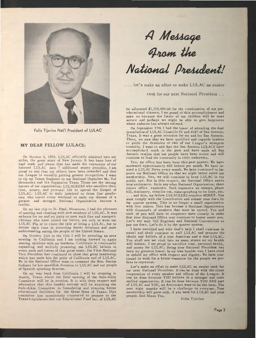

**Felix Tijerina Nat'I President of LULAC** 

# **MY DEAR FELLOW LULACS:**

On October 4, 1958, LULAC officially admitted into our midst, the great state of New Jersey. It has been lots of hard work and sweat that has made the expansion of our beloved LULAC into 7 additional states possible. I am proud to say that our efforts have been rewarded and that our League is steadily gaining greater recognition. I want co tip my Texas Sombrero to our National Organizer Mr, Val Hernandez and his Expansion Team. Those are the unsung heroes of our organization. LULACKERS who sacrifice their time, money, and personal life to spread the Gospel of LULAC. LULAC is truly indebted to chose fine gentlemen who travel every weekend to make our dreams of a greater and stronger National Organization become a reality.

On my lase trip to Sc. Paul, Minnesota, I had the pleasure of meeting and chatting with new members of LULAC. It was an honor for me and my party co meet such fine and energetic citizens who have joined our forces, not only co wear our LULAC Pin or to claim the title of being a LULAC, but co devote their time in promoting better relations and more understanding among the people of the United States.

On October 11th co the 13th I will be attending an area meeting in California and I am looking forward to again sharing opinions with my brethren, California is continually expanding and actively promoting our LULAC beliefs to every nook and corner of chat great state. Our First National Vice President has continued to show chat great leadership which has made him the pride of California and of LULAC. We in the National Office want co commend the Hon. Hector Golinez for his unselfish devotion co LULAC and our people of Spanish speaking descent.

On my way back from California I will be stopping in Austin, Texas where the final meeting of the Hale-Aikin Committee will be in session. It is with deep respect and admiration chat this humble servant will be assisting the Hale-Aikin Committee in formulating and planning better educational facilities for the Great State of Texas. This committee has unanimously consented co propose to the Texas Legislature chat our Educational Fund Inc. of LULAC

# A Message<br>Arom the National President!

... let's make an effort to make LULAC an easier

task for our next National President ..

be allocated \$1,350,000.00 for the continuation of our preeducational classes. I am proud of chis accomplishment and more so because the future of our children will be more secure and perhaps we might be able to give happiness where sadness has always existed.

On September 27th I had the honor of attending the dual installation of LULAC Councils #2 and #187 of San Antonio, Texas. It was a great occasion for me and for San Antonio. There, we saw chat we have qualified and capable leaders co guide the destinies of two of our League's strongest councils. I want to add chat the San Antonio LULACS have accomplished much in the past and have made all San Antonio realize that our people have been active and will continue to lead the community in civic endeavors.

Yes, my office has been busy this past quarter. We have answered approximately 400 letters per month. We have issued a LULAC News every month. We have continued to improve our National Office so that we might better serve our membership. Yes, we will continue to keep LULAC in the public eye. But in this respect, the National Office need: your assistance. As in any other National Organization, there exists office expenses. Such expenses as stamps, phone bill, stationery, stencils cut, mimeographing to be done, etc. ... and this, my fellow LULACKERS requires MONEY. You must comply with the Constitution and submit your dues by the quarter system. This is no longer a small organization with five states. This has become a National Organization with thousands of members that must be served. You and each of you will have to cooperate more closely in order that your National Office may continue to better serve you. Let's not wait 'till Regional and National Conventions to pay our dues. Let's do it by the quarter system.

I have travelled and with God's help I shall continue to travel and shall continue to sell LULAC and promote the ideals and beliefs of a true American and a true LULAC. You shall see me visit into as many states as my health will endure. I am proud to sacrifice time, personal health, and money for LULAC. Being your National President has been my greatest honor. In my own humble way I have tried to uphold my office with respect and dignity. We have continued to work for a better tomorrow for the people we profess to represent.

Let's make an effort co make LULAC an easier task for our next National President. It can be done with the close cooperation of every member and officer of the League. It can be done because YOU believe in a stronger and more unified organization. It can be done because YOU ARE part of LULAC and YOU, as Americans want to be the best. The next eight months will be a challenge to everyone. Your membership will grow only, if you work for LULAC and your people. God Bless You.

Felix Tijerina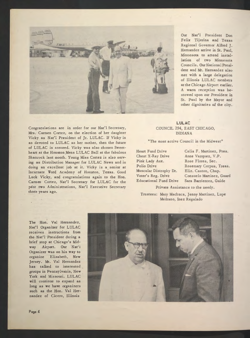

Congratulations are in order for our Nat'l Secretary, Mrs. Carmen Cortez, on the election of her daughter Vicky as Nat'l President of Jr. LULAC. If Vicky is as devoted to LULAC as her mother, then the future of LULAC is assured. Vicky was also chosen Sweetheart at the Houston Mens LULAC Ball at the fabulous Shamrock last month. Young Miss Cortez is also serving as Distribution Manager for LULAC News and is doing an excellent job at it. Vicky is a. senior at Incarnate Word Academy of Houston, Texas. Good Luck Vicky, and congratulations again to the Hon. Carmen Cortez, Nat'l Secretary for LULAC for the past two Administrations, Nat'l Executive Secretary three years ago.

Our Nat'l President Don Felix Tijerina and Texas Regional Governor Alfred J. Hernandez arrive in St. Paul, Minnesota to attend installation of two Minnesota Councils. Our National President and Mr. Hernandez also met with a large delegation of Illinois LULAC members at the Chicago Airport earlier. A warm reception was bestowed upon our President in St. Paul by the Mayor and other dignitaries of the city.

# **LULAC**  COUNCIL 294, EAST CHICAGO, INDIANA

"The most active Council in the Midwest"

Heart Fund Drive Chest X-Ray Drive Pink Lady Aux. Polio Drive Muscular Distrophy Dr. Voter's Reg. Drive Educational Fund Drive

Celia F. Martinez, Pres. Anne Vazquez, V.P. Rose Flores, Sec. Rosemary Corpus, Treas. Eliz. Caston, Chap. Consuelo Martinez, Guard Sara Barrientez, Guide

Private Assistance to the needy.

Trustees: Mary Machuca, Jenny Martinez, Lupe Medrano, Inez Regalado

The Hon. Val Hernandez, Nat'l Organizer for LULAC receives instructions from the Nat'l·President during a brief stop at Chicago's Midway Airport. Our Nat'! Organizer was on his way to organize Elizabeth, New Jersey. Mr. Val Hernandez has talked to interested groups in Pennsylvania, New. York and Missouri. LULAC will continue to expand as long as we have organizers such as the Hon. Val Hernandez of Cicero, Illinois

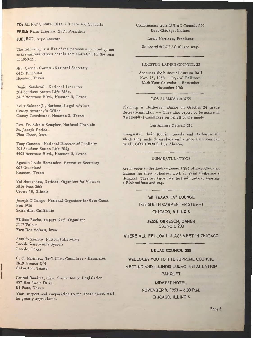**TO:** All Nat'!, State, Dist. Officers and Councils

**FROM:** Felix Tijerina, Nat'! President

**SUBJECT:** Appointments

The following is a list of the persons appointed by me to the various offices of this administration for the term of 1958-59:

Mrs. Carmen Cortes - National Secretary 6439 Pinehurst Houston, Texas

Daniel Sandoval - National Treasurer 504 Southern States Life Bldg. 3402 Montrose Blvd., Houston 6, Texas

Felix Salazar J., National Legal Adviser County Attorney's Office County Courthouse, Houston 2, Texas

Rev. Fr. Adrain Kempker, National Chaplain St. Joseph Parish What Cheer, Iowa

Tony Campos - National Director of Publicity 504 Southern States Life Bldg. 3402 Montrose Blvd., Houston 6, Texas

Agustin Louis Hemandez, Executive Secretary 602 Graceland Houston, Texas

Val Hernandez, National Organizer for Midwest 5316 West 26th Cicero 50, Illinois

Joseph O'Campo, National Organizer for West Coast Box 1916 Santa Ana, California

William Rocha, Deputy Nat'! Organizer 1117 Walnut West Des Moines, Iowa

Arnulfo Zamora, National Historian Laredo Waterworks System Laredo, Texas

G. C. Martinez, Nat'! Chm. Committee - Expansion 2019 Avenue Q *½*  Galveston, Texas

Conrad Ramirez, Chm. Committee on Legislation 357 Ben Swain Drive El Paso, Texas

Your support and cooperation to the above named will be greatly appreciated.

Compliments from LULAC Council 290 East Chicago, Indiana

Louis Martinez, President

We are with LULAC all the way.

HOUSTON LADIES COUNCIL 22

Announce their Annual Autumn Ball Nov. 15, 1958 - Crystal Ballroom Mark Your Calendar - Remember November 15th

### LOS ALAMOS LADIES

Planning a Holloween Dance on October 24 in the Recreational Hall -- They also report to be active in the Hospital Committee on behalf of the needy.

### Los Alamos Council 212

Inaugurated their Picnic grounds and Barbecue Pit which they made themselves and a good time was had by all. GOOD WORK, Los Alamos.

### CONGRATULATIONS

Are in order to the Ladies Council 294 of East Chicago, Indiana for their volunteer work in Saint Catherine's Hospital. They are known as·the Pink Ladies, wearing a Pink uniform and cap.

> **"MI TEXANITA" LOUNGE** 1843 SOUTH CARPENTER STREET

> > CHICAGO, ILLINOIS

JESSE OBREGON, OWNER COUNCIL 288

WHERE ALL FELLOW LULACS MEET IN CHICAGO

### **LULAC COUNCIL 288**

WELCOMES YOU TO THE SUPREME COUNCIL MEETING AND ILLINOIS LULAC INSTALLATION BANQUET

> MIDWEST HOTEL NOVEMBER 8, 1958 - 6:30 P.M. CHICAGO, ILLINOIS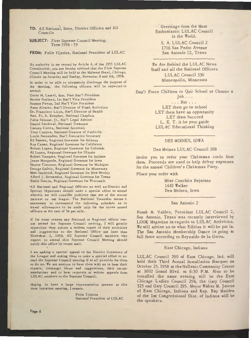TO: All National, State, District Officers and All Councils

### **SUBJECT:** First Supreme Council Meeting, Term 1958 - 59

**FROM:** Felix Tijerina, National President of LULAC

By authority in me vested by Article 4, of the 1955 LULAC Constitution, you are hereby advised that the First Supreme Council Meeting will be held at the Midwest Hotel, Chicago, Illinois on Saturday and Sunday, November 8 and 9th, 1958.

In order to be able to adequately discharge the purpose of the Meeting, the following officers will be expected to attend:

Oscar M. Laurel, Imm. Past Nat'l President Hector Godinez, 1st Nat'l Vice President Susana Pavon, 2nd Nat'l Vice President Anne Alvarez, Nat'l Director of Youth Activities Dr. Francisco Licon, Nat'! Director of Health Rev. Fr. A. Kempker, National Chaplain Felix Salazar, Jr., Nat'l Legal Adviser Daniel Sandoval, National Treasurer Carmen Cortes, National Secretary Tony Campos, National Director of Publicity Louis Hernandex, Nat'l Executive Secretary Ed Samora, Regional Governor for Arizona Roy Casas, Regional Governor for California Robert Lopez, Regional Governor for Colorado Al Lopez, Regional Governor for Illinois Robert Vasquez, Regional Governor for Indiana Jesse Mosqueda, Regional Governor for Iowa Hector Cisneros, Regional Governor for Michigan George Galvin, Regional Governor for Minnesota Matt Sandoval, Regional Governor for New Mexico Alfred J. Hernandez, Regional Governor for Texas Emile Garcia, Regional Governor for Wisconsin

•All National and Regional Officers as well as District and Special Organizers should make a special effort to attend wherein we will consider problems that are of the utmost interest to our league. The National Treasurer deems it recessary to recommend the following schedule as to travel allowances to be made only for the above named officers at the rate of 3¢ per mile.

If for some reason any National or Regional officer cannot attend the Supreme Council meeting, I will greatly appreciate they submit a written report of their activities and suggestions to the National Office not later than November 1, 1958. All Supreme Council members who expect to attend this Supreme Council Meeting should notify this office by return mail.

I am making a special appeal to the District Governors of the League and asking them to make a special effort to attend the Supreme Council meeting if at all possible for them to do so. We are anxious to have them with us to hear their reports, exchange ideas and suggestions, their recommendations and to hear requests or written appeals from LULAC members to the Supreme Council.

Hoping to have a large representation present at this most important meeting, I remain,

> Felix Tijerina National President of LULAC

' Greetings from the Most Enthusiastic LULAC Council in the World.

S. A. LULAC Council 2 1716 San Pedro Avenue San Antonio 12, Texas

We Are Behind the LULAC News Scaff and all the National Officers LULAC Council 330 Minneapolis, Minnesota

Don't Force Children co Quit School or Choose a

Job .. . ... But .. . LET them go to school LET chem have an opportunity LET them Succeed L. E. T. it be your guide LULAC Educational Thinking

# DES MOINES, IOWA

### Des Moines LULAC Council 308

invite you co order your Christmas cards from them. Proceeds are used to help defray expenses for the annual Children's Christmas Party.

Place your order with

Miss Conchita Bejarano 1440 Walker Des Moines, Iowa

### San Antonio 2

Frank M. Valdez, President LULAC Council 2, San Antonio, Texas was recently interviewed by. LOOK Magazine in<sub>regards</sub> to LULAC Activities. We will advise as co what Edition it will be put in. The San Antonio Membership Dance is going at full force according to Reynaldo de la Garza.

### East Chicago, Indiana

LULAC Council 290 of Ease Chicago, Ind. will hold their Third Annual Installation Banquet on October 25, 1958 at the Hellenic Community Center at 3602 Grand Blvd. ac 6:30 P.M. Also co be installed the same evening will be the East Chicago Ladies Council 294, the Gary Council 323 and Gary Council 295. Mayor Walter M. Jeorse of East Chicago, Indiana and Rep. Ray Madden of the 1st Congressional Disc. of Indiana will be the speakers.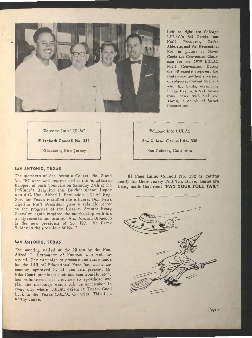

Left to right are Chicago LULAC's Sal Garcia, our Nat'l President, Tacho Alderete, and Val Hernandez. Not in picture is David Cerda the Convention Chairman for the 1959 LULAC Nat'l Convention. During the 30 minute stopover, the conference touched a variety of subjects, convention plans with Mr. Cerda, organizing in the East with Val, hometown news with Sal and Tacho, a couple of former Houstonites.

Welcome Into LULAC

**Elizabeth Council No. 339** 

Elizabeth, New Jersey

# **SAN ANTONIO; TEXAS**

The members of San Antonio Council No. 2 and No. 187 were well represented at the Installation Banquet of both Councils on Saturday 27th at the De Winne's Belguium Inn. Brother Manuel Lopez was M.C. Hon. Alfred J. Hernandez, LULAC Reg. Gov. for Texas installed the officers. Don Felix Tijerina Nat'l President gave a splendid report on the progress of the League. Senator Henry Gonzalez again inspired the membership with his timely remarks and oratory. Mrs. Dominic Bronocco is the new president of No. 187. Mr. Frank Valdez is the president of No. 2.

### **SAN ANTONIO, TEXAS**

The meeting called at the Hilton by the Hon. Alfred J. Hernandez of Houston was well attended. The campaign to promote and raise funds for the LULAC Educational Fund Inc. was unanimously approved by all councils present. Mr. Mike Conti, prominent business man from Houston, has volunteered his services to spearhead and plan the campaign which will be undertaken in every city where LULAC exists in Texas. Good Luck to the Texas LULAC Councils. This is a worthy cause.

Welcome Into LULAC **San Gabriel Council No. 338**  San Gabriel, California

EI Paso Lulac Council No. 132 is getting ready for their yearly Poll· Tax Drive. Signs are being made that read **"PAY YOUR POLL TAX".**